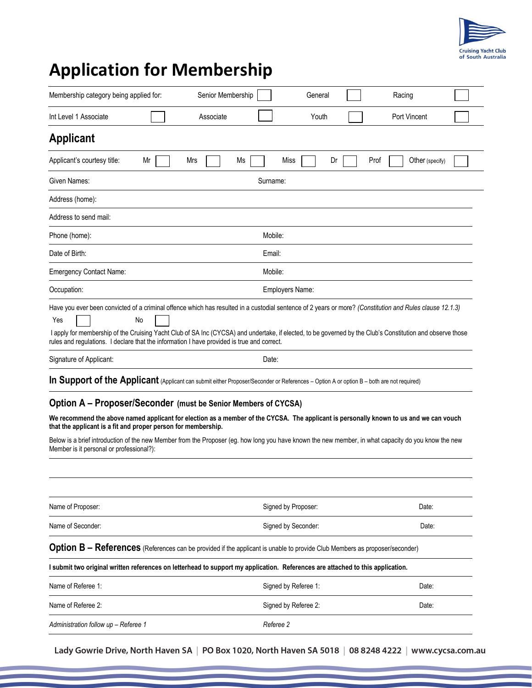

## **Application for Membership**

| Membership category being applied for:                                                                                                                                                                                                                                                                                                                                                                                                                                                                                                                                                                                                                                                                                                                                                                                                                                                                                                                                         |                 | Senior Membership |          | General              |    |      | Racing       |                 |  |
|--------------------------------------------------------------------------------------------------------------------------------------------------------------------------------------------------------------------------------------------------------------------------------------------------------------------------------------------------------------------------------------------------------------------------------------------------------------------------------------------------------------------------------------------------------------------------------------------------------------------------------------------------------------------------------------------------------------------------------------------------------------------------------------------------------------------------------------------------------------------------------------------------------------------------------------------------------------------------------|-----------------|-------------------|----------|----------------------|----|------|--------------|-----------------|--|
|                                                                                                                                                                                                                                                                                                                                                                                                                                                                                                                                                                                                                                                                                                                                                                                                                                                                                                                                                                                |                 |                   |          |                      |    |      |              |                 |  |
| Int Level 1 Associate                                                                                                                                                                                                                                                                                                                                                                                                                                                                                                                                                                                                                                                                                                                                                                                                                                                                                                                                                          |                 | Associate         |          | Youth                |    |      | Port Vincent |                 |  |
| <b>Applicant</b>                                                                                                                                                                                                                                                                                                                                                                                                                                                                                                                                                                                                                                                                                                                                                                                                                                                                                                                                                               |                 |                   |          |                      |    |      |              |                 |  |
| Applicant's courtesy title:                                                                                                                                                                                                                                                                                                                                                                                                                                                                                                                                                                                                                                                                                                                                                                                                                                                                                                                                                    | Mr              | Mrs               | Ms       | Miss                 | Dr | Prof |              | Other (specify) |  |
| Given Names:                                                                                                                                                                                                                                                                                                                                                                                                                                                                                                                                                                                                                                                                                                                                                                                                                                                                                                                                                                   |                 |                   | Surname: |                      |    |      |              |                 |  |
| Address (home):                                                                                                                                                                                                                                                                                                                                                                                                                                                                                                                                                                                                                                                                                                                                                                                                                                                                                                                                                                |                 |                   |          |                      |    |      |              |                 |  |
| Address to send mail:                                                                                                                                                                                                                                                                                                                                                                                                                                                                                                                                                                                                                                                                                                                                                                                                                                                                                                                                                          |                 |                   |          |                      |    |      |              |                 |  |
| Phone (home):                                                                                                                                                                                                                                                                                                                                                                                                                                                                                                                                                                                                                                                                                                                                                                                                                                                                                                                                                                  |                 |                   | Mobile:  |                      |    |      |              |                 |  |
| Date of Birth:                                                                                                                                                                                                                                                                                                                                                                                                                                                                                                                                                                                                                                                                                                                                                                                                                                                                                                                                                                 | Email:          |                   |          |                      |    |      |              |                 |  |
| <b>Emergency Contact Name:</b>                                                                                                                                                                                                                                                                                                                                                                                                                                                                                                                                                                                                                                                                                                                                                                                                                                                                                                                                                 |                 |                   | Mobile:  |                      |    |      |              |                 |  |
| Occupation:                                                                                                                                                                                                                                                                                                                                                                                                                                                                                                                                                                                                                                                                                                                                                                                                                                                                                                                                                                    | Employers Name: |                   |          |                      |    |      |              |                 |  |
| Have you ever been convicted of a criminal offence which has resulted in a custodial sentence of 2 years or more? (Constitution and Rules clause 12.1.3)                                                                                                                                                                                                                                                                                                                                                                                                                                                                                                                                                                                                                                                                                                                                                                                                                       | No              |                   |          |                      |    |      |              |                 |  |
| Yes                                                                                                                                                                                                                                                                                                                                                                                                                                                                                                                                                                                                                                                                                                                                                                                                                                                                                                                                                                            |                 |                   |          |                      |    |      |              |                 |  |
| I apply for membership of the Cruising Yacht Club of SA Inc (CYCSA) and undertake, if elected, to be governed by the Club's Constitution and observe those<br>rules and regulations. I declare that the information I have provided is true and correct.<br>Signature of Applicant:                                                                                                                                                                                                                                                                                                                                                                                                                                                                                                                                                                                                                                                                                            |                 |                   | Date:    |                      |    |      |              |                 |  |
|                                                                                                                                                                                                                                                                                                                                                                                                                                                                                                                                                                                                                                                                                                                                                                                                                                                                                                                                                                                |                 |                   |          |                      |    |      |              |                 |  |
|                                                                                                                                                                                                                                                                                                                                                                                                                                                                                                                                                                                                                                                                                                                                                                                                                                                                                                                                                                                |                 |                   |          |                      |    |      |              |                 |  |
|                                                                                                                                                                                                                                                                                                                                                                                                                                                                                                                                                                                                                                                                                                                                                                                                                                                                                                                                                                                |                 |                   |          | Signed by Proposer:  |    |      |              | Date:           |  |
|                                                                                                                                                                                                                                                                                                                                                                                                                                                                                                                                                                                                                                                                                                                                                                                                                                                                                                                                                                                |                 |                   |          | Signed by Seconder:  |    |      |              | Date:           |  |
|                                                                                                                                                                                                                                                                                                                                                                                                                                                                                                                                                                                                                                                                                                                                                                                                                                                                                                                                                                                |                 |                   |          |                      |    |      |              |                 |  |
|                                                                                                                                                                                                                                                                                                                                                                                                                                                                                                                                                                                                                                                                                                                                                                                                                                                                                                                                                                                |                 |                   |          |                      |    |      |              |                 |  |
|                                                                                                                                                                                                                                                                                                                                                                                                                                                                                                                                                                                                                                                                                                                                                                                                                                                                                                                                                                                |                 |                   |          | Signed by Referee 1: |    |      |              | Date:           |  |
| In Support of the Applicant (Applicant can submit either Proposer/Seconder or References – Option A or option B – both are not required)<br>Option A – Proposer/Seconder (must be Senior Members of CYCSA)<br>We recommend the above named applicant for election as a member of the CYCSA. The applicant is personally known to us and we can vouch<br>that the applicant is a fit and proper person for membership.<br>Below is a brief introduction of the new Member from the Proposer (eg. how long you have known the new member, in what capacity do you know the new<br>Member is it personal or professional?):<br>Name of Proposer:<br>Name of Seconder:<br>Option B - References (References can be provided if the applicant is unable to provide Club Members as proposer/seconder)<br>I submit two original written references on letterhead to support my application. References are attached to this application.<br>Name of Referee 1:<br>Name of Referee 2: |                 |                   |          | Signed by Referee 2: |    |      |              | Date:           |  |